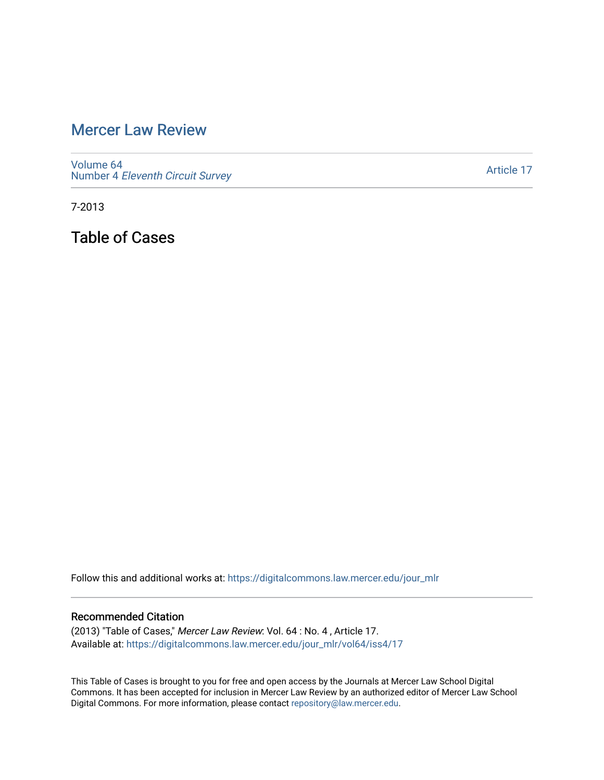## [Mercer Law Review](https://digitalcommons.law.mercer.edu/jour_mlr)

[Volume 64](https://digitalcommons.law.mercer.edu/jour_mlr/vol64) Number 4 [Eleventh Circuit Survey](https://digitalcommons.law.mercer.edu/jour_mlr/vol64/iss4) 

[Article 17](https://digitalcommons.law.mercer.edu/jour_mlr/vol64/iss4/17) 

7-2013

Table of Cases

Follow this and additional works at: [https://digitalcommons.law.mercer.edu/jour\\_mlr](https://digitalcommons.law.mercer.edu/jour_mlr?utm_source=digitalcommons.law.mercer.edu%2Fjour_mlr%2Fvol64%2Fiss4%2F17&utm_medium=PDF&utm_campaign=PDFCoverPages)

## Recommended Citation

(2013) "Table of Cases," Mercer Law Review: Vol. 64 : No. 4 , Article 17. Available at: [https://digitalcommons.law.mercer.edu/jour\\_mlr/vol64/iss4/17](https://digitalcommons.law.mercer.edu/jour_mlr/vol64/iss4/17?utm_source=digitalcommons.law.mercer.edu%2Fjour_mlr%2Fvol64%2Fiss4%2F17&utm_medium=PDF&utm_campaign=PDFCoverPages) 

This Table of Cases is brought to you for free and open access by the Journals at Mercer Law School Digital Commons. It has been accepted for inclusion in Mercer Law Review by an authorized editor of Mercer Law School Digital Commons. For more information, please contact [repository@law.mercer.edu](mailto:repository@law.mercer.edu).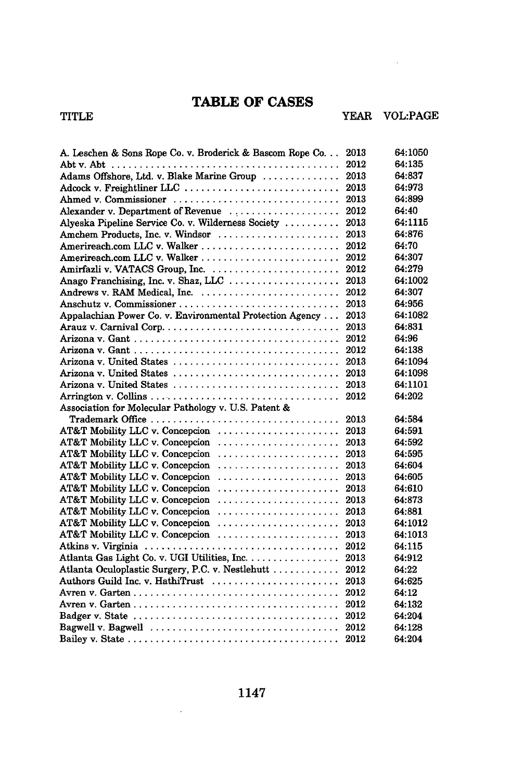## **TABLE OF CASES**

 $\sim$ 

| A. Leschen & Sons Rope Co. v. Broderick & Bascom Rope Co | 2013 | 64:1050 |
|----------------------------------------------------------|------|---------|
|                                                          | 2012 | 64:135  |
| Adams Offshore, Ltd. v. Blake Marine Group               | 2013 | 64:837  |
| Adcock v. Freightliner LLC                               | 2013 | 64:973  |
| Ahmed v. Commissioner                                    | 2013 | 64:899  |
| Alexander v. Department of Revenue                       | 2012 | 64:40   |
| Alyeska Pipeline Service Co. v. Wilderness Society       | 2013 | 64:1115 |
| Amchem Products, Inc. v. Windsor                         | 2013 | 64:876  |
|                                                          | 2012 | 64:70   |
|                                                          | 2012 | 64:307  |
|                                                          | 2012 | 64:279  |
| Anago Franchising, Inc. v. Shaz, LLC                     | 2013 | 64:1002 |
| Andrews v. RAM Medical, Inc.                             | 2012 | 64:307  |
|                                                          | 2013 | 64:956  |
| Appalachian Power Co. v. Environmental Protection Agency | 2013 | 64:1082 |
|                                                          | 2013 | 64:831  |
|                                                          | 2012 | 64:96   |
|                                                          | 2012 | 64:138  |
| Arizona v. United States                                 | 2013 | 64:1094 |
|                                                          |      | 64:1098 |
|                                                          |      | 64:1101 |
|                                                          | 2012 | 64:202  |
| Association for Molecular Pathology v. U.S. Patent &     |      |         |
| Trademark Office                                         | 2013 | 64:584  |
| AT&T Mobility LLC v. Concepcion                          | 2013 | 64:591  |
| AT&T Mobility LLC v. Concepcion                          | 2013 | 64:592  |
| AT&T Mobility LLC v. Concepcion                          | 2013 | 64:595  |
| AT&T Mobility LLC v. Concepcion                          | 2013 | 64:604  |
| AT&T Mobility LLC v. Concepcion                          | 2013 | 64:605  |
| AT&T Mobility LLC v. Concepcion                          | 2013 | 64:610  |
| AT&T Mobility LLC v. Concepcion                          | 2013 | 64:873  |
| AT&T Mobility LLC v. Concepcion                          | 2013 | 64:881  |
| AT&T Mobility LLC v. Concepcion                          | 2013 | 64:1012 |
| AT&T Mobility LLC v. Concepcion                          | 2013 | 64:1013 |
|                                                          | 2012 | 64:115  |
| Atlanta Gas Light Co. v. UGI Utilities, Inc.             | 2013 | 64:912  |
| Atlanta Oculoplastic Surgery, P.C. v. Nestlehutt         | 2012 | 64:22   |
| Authors Guild Inc. v. HathiTrust                         | 2013 | 64:625  |
|                                                          | 2012 | 64:12   |
|                                                          | 2012 | 64:132  |
|                                                          | 2012 | 64:204  |
|                                                          | 2012 | 64:128  |
|                                                          | 2012 | 64:204  |

 $\sim 10^{-10}$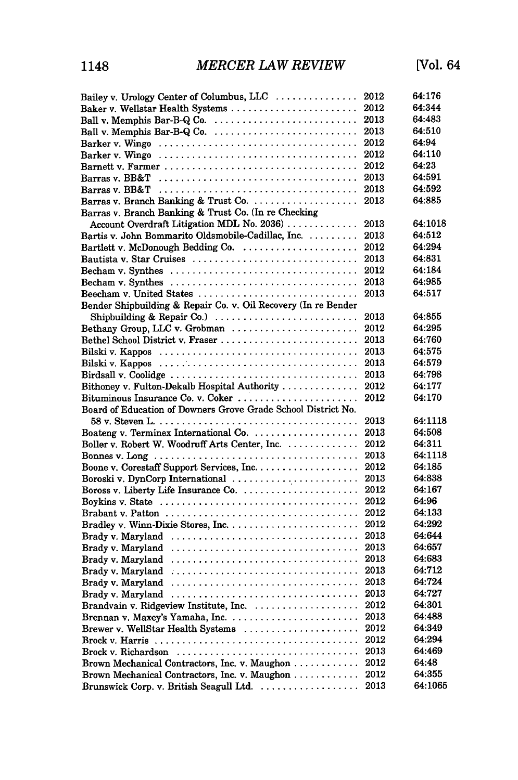| Bailey v. Urology Center of Columbus, LLC                      | 2012 | 64:176  |
|----------------------------------------------------------------|------|---------|
|                                                                | 2012 | 64:344  |
| Ball v. Memphis Bar-B-Q Co.                                    | 2013 | 64:483  |
| Ball v. Memphis Bar-B-Q Co.                                    | 2013 | 64:510  |
|                                                                | 2012 | 64:94   |
|                                                                | 2012 | 64:110  |
|                                                                | 2012 | 64:23   |
|                                                                | 2013 | 64:591  |
|                                                                | 2013 | 64:592  |
|                                                                | 2013 | 64:885  |
| Barras v. Branch Banking & Trust Co. (In re Checking           |      |         |
| Account Overdraft Litigation MDL No. 2036)                     | 2013 | 64:1018 |
| Bartis v. John Bommarito Oldsmobile-Cadillac, Inc.             | 2013 | 64:512  |
| Bartlett v. McDonough Bedding Co.                              | 2012 | 64:294  |
| Bautista v. Star Cruises                                       | 2013 | 64:831  |
| Becham v. Synthes                                              | 2012 | 64:184  |
| Becham v. Synthes                                              | 2013 | 64:985  |
| Beecham v. United States                                       | 2013 | 64:517  |
| Bender Shipbuilding & Repair Co. v. Oil Recovery (In re Bender |      |         |
| Shipbuilding & Repair Co.)                                     | 2013 | 64:855  |
| Bethany Group, LLC v. Grobman                                  | 2012 | 64:295  |
|                                                                | 2013 | 64:760  |
|                                                                | 2013 | 64:575  |
|                                                                | 2013 | 64:579  |
| Birdsall v. Coolidge                                           | 2013 | 64:798  |
| Bithoney v. Fulton-Dekalb Hospital Authority                   | 2012 | 64:177  |
|                                                                | 2012 | 64:170  |
| Board of Education of Downers Grove Grade School District No.  |      |         |
|                                                                | 2013 | 64:1118 |
| Boateng v. Terminex International Co.                          | 2013 | 64:508  |
| Boller v. Robert W. Woodruff Arts Center, Inc.                 | 2012 | 64:311  |
|                                                                | 2013 | 64:1118 |
|                                                                | 2012 | 64:185  |
| Boroski v. DynCorp International                               | 2013 | 64:838  |
| Boross v. Liberty Life Insurance Co.                           | 2012 | 64:167  |
|                                                                | 2012 | 64:96   |
|                                                                | 2012 | 64:133  |
|                                                                | 2012 | 64:292  |
|                                                                | 2013 | 64:644  |
| Brady v. Maryland                                              | 2013 | 64:657  |
|                                                                | 2013 | 64:683  |
|                                                                | 2013 | 64:712  |
|                                                                | 2013 | 64:724  |
|                                                                | 2013 | 64:727  |
| Brandvain v. Ridgeview Institute, Inc.                         | 2012 | 64:301  |
|                                                                | 2013 | 64:488  |
| Brewer v. WellStar Health Systems                              | 2012 | 64:349  |
|                                                                | 2012 | 64:294  |
| Brock v. Richardson                                            | 2013 | 64:469  |
| Brown Mechanical Contractors, Inc. v. Maughon                  | 2012 | 64:48   |
| Brown Mechanical Contractors, Inc. v. Maughon                  | 2012 | 64:355  |
| Brunswick Corp. v. British Seagull Ltd.                        | 2013 | 64:1065 |
|                                                                |      |         |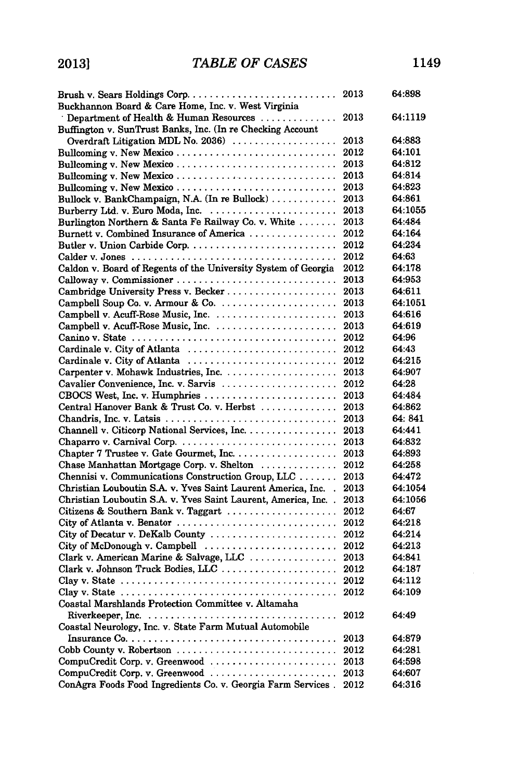| Buckhannon Board & Care Home, Inc. v. West Virginia                                                 |      | 64:898  |
|-----------------------------------------------------------------------------------------------------|------|---------|
| Department of Health & Human Resources                                                              | 2013 | 64:1119 |
| Buffington v. SunTrust Banks, Inc. (In re Checking Account                                          |      |         |
| Overdraft Litigation MDL No. 2036)                                                                  | 2013 | 64:883  |
| Bullcoming v. New Mexico                                                                            | 2012 | 64:101  |
| Bullcoming v. New Mexico                                                                            | 2013 | 64:812  |
| Bullcoming v. New Mexico                                                                            | 2013 | 64:814  |
| Bullcoming v. New Mexico                                                                            | 2013 | 64:823  |
| Bullock v. BankChampaign, N.A. (In re Bullock)                                                      | 2013 | 64:861  |
|                                                                                                     | 2013 | 64:1055 |
| Burlington Northern & Santa Fe Railway Co. v. White                                                 | 2013 | 64:484  |
| Burnett v. Combined Insurance of America                                                            | 2012 | 64:164  |
|                                                                                                     | 2012 | 64:234  |
|                                                                                                     | 2012 | 64:63   |
|                                                                                                     |      | 64:178  |
| Caldon v. Board of Regents of the University System of Georgia                                      | 2012 | 64:953  |
| Calloway v. Commissioner                                                                            | 2013 |         |
| Cambridge University Press v. Becker                                                                | 2013 | 64:611  |
|                                                                                                     | 2013 | 64:1051 |
|                                                                                                     | 2013 | 64:616  |
|                                                                                                     | 2013 | 64:619  |
|                                                                                                     | 2012 | 64:96   |
| Cardinale v. City of Atlanta                                                                        | 2012 | 64:43   |
| Cardinale v. City of Atlanta                                                                        | 2012 | 64:215  |
|                                                                                                     | 2013 | 64.907  |
| Cavalier Convenience, Inc. v. Sarvis                                                                | 2012 | 64:28   |
|                                                                                                     | 2013 | 64:484  |
| Central Hanover Bank & Trust Co. v. Herbst                                                          | 2013 | 64:862  |
| Chandris, Inc. v. Latsis                                                                            | 2013 | 64: 841 |
| Channell v. Citicorp National Services, Inc.                                                        | 2013 | 64:441  |
| Chaparro v. Carnival Corp                                                                           | 2013 | 64:832  |
|                                                                                                     | 2013 | 64:893  |
| Chase Manhattan Mortgage Corp. v. Shelton                                                           | 2012 | 64:258  |
| Chennisi v. Communications Construction Group, LLC                                                  | 2013 | 64:472  |
| Christian Louboutin S.A. v. Yves Saint Laurent America, Inc.                                        | 2013 | 64:1054 |
| Christian Louboutin S.A. v. Yves Saint Laurent, America, Inc. .                                     | 2013 | 64:1056 |
| Citizens & Southern Bank v. Taggart                                                                 | 2012 | 64:67   |
| City of Atlanta v. Benator                                                                          | 2012 | 64:218  |
| City of Decatur v. DeKalb County                                                                    | 2012 | 64:214  |
| City of McDonough v. Campbell                                                                       | 2012 | 64:213  |
| Clark v. American Marine & Salvage, LLC                                                             | 2013 | 64:841  |
| Clark v. Johnson Truck Bodies, LLC                                                                  | 2012 | 64:187  |
| Clay v. State $\ldots \ldots \ldots \ldots \ldots \ldots \ldots \ldots \ldots \ldots \ldots \ldots$ | 2012 | 64:112  |
|                                                                                                     | 2012 | 64:109  |
| Coastal Marshlands Protection Committee v. Altamaha                                                 |      |         |
| Riverkeeper, Inc. $\ldots \ldots \ldots \ldots \ldots \ldots \ldots \ldots \ldots \ldots$           | 2012 | 64:49   |
| Coastal Neurology, Inc. v. State Farm Mutual Automobile                                             |      |         |
|                                                                                                     | 2013 | 64:879  |
|                                                                                                     | 2012 | 64:281  |
| CompuCredit Corp. v. Greenwood                                                                      | 2013 | 64:598  |
|                                                                                                     | 2013 | 64:607  |
| ConAgra Foods Food Ingredients Co. v. Georgia Farm Services.                                        | 2012 | 64:316  |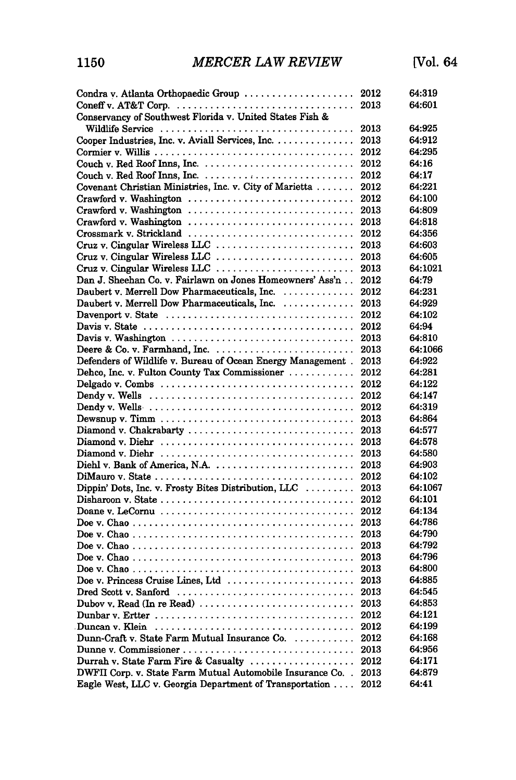| Condra v. Atlanta Orthopaedic Group  2012                                                     |      | 64:319  |
|-----------------------------------------------------------------------------------------------|------|---------|
|                                                                                               |      | 64:601  |
| Conservancy of Southwest Florida v. United States Fish &                                      |      |         |
|                                                                                               | 2013 | 64:925  |
| Cooper Industries, Inc. v. Aviall Services, Inc.                                              | 2013 | 64:912  |
|                                                                                               | 2012 | 64:295  |
|                                                                                               | 2012 | 64:16   |
|                                                                                               | 2012 | 64:17   |
| Covenant Christian Ministries, Inc. v. City of Marietta                                       | 2012 | 64:221  |
|                                                                                               | 2012 | 64:100  |
| Crawford v. Washington                                                                        | 2013 | 64:809  |
| Crawford v. Washington                                                                        | 2013 | 64:818  |
| Crossmark v. Strickland                                                                       | 2012 | 64:356  |
| Cruz v. Cingular Wireless LLC                                                                 | 2013 | 64:603  |
| Cruz v. Cingular Wireless LLC                                                                 | 2013 | 64:605  |
| Cruz v. Cingular Wireless LLC                                                                 | 2013 | 64:1021 |
| Dan J. Sheehan Co. v. Fairlawn on Jones Homeowners' Ass'n                                     | 2012 | 64:79   |
| Daubert v. Merrell Dow Pharmaceuticals, Inc.                                                  | 2012 | 64:231  |
| Daubert v. Merrell Dow Pharmaceuticals, Inc.                                                  | 2013 | 64:929  |
|                                                                                               | 2012 | 64:102  |
|                                                                                               | 2012 | 64:94   |
| Davis v. Washington                                                                           | 2013 | 64:810  |
| Deere & Co. v. Farmhand, Inc.                                                                 | 2013 | 64:1066 |
| Defenders of Wildlife v. Bureau of Ocean Energy Management.                                   | 2013 | 64:922  |
| Dehco, Inc. v. Fulton County Tax Commissioner                                                 | 2012 | 64:281  |
|                                                                                               | 2012 | 64:122  |
|                                                                                               | 2012 | 64:147  |
|                                                                                               |      |         |
|                                                                                               | 2012 | 64:319  |
|                                                                                               | 2013 | 64:864  |
| Diamond v. Chakrabarty                                                                        | 2013 | 64:577  |
|                                                                                               | 2013 | 64:578  |
|                                                                                               | 2013 | 64:580  |
| Diehl v. Bank of America, N.A.                                                                | 2013 | 64:903  |
|                                                                                               | 2012 | 64:102  |
| Dippin' Dots, Inc. v. Frosty Bites Distribution, LLC                                          | 2013 | 64:1067 |
|                                                                                               | 2012 | 64:101  |
|                                                                                               | 2012 | 64:134  |
|                                                                                               | 2013 | 64:786  |
|                                                                                               | 2013 | 64:790  |
|                                                                                               | 2013 | 64:792  |
|                                                                                               | 2013 | 64:796  |
|                                                                                               | 2013 | 64:800  |
| Doe v. Princess Cruise Lines, Ltd                                                             | 2013 | 64:885  |
| Dred Scott v. Sanford                                                                         | 2013 | 64:545  |
|                                                                                               |      | 64:853  |
|                                                                                               | 2012 | 64:121  |
| Duncan v. Klein $\dots\dots\dots\dots\dots\dots\dots\dots\dots\dots\dots\dots\dots\dots\dots$ | 2012 | 64:199  |
| Dunn-Craft v. State Farm Mutual Insurance Co.                                                 | 2012 | 64:168  |
|                                                                                               | 2013 | 64:956  |
| Durrah v. State Farm Fire & Casualty                                                          | 2012 | 64:171  |
| DWFII Corp. v. State Farm Mutual Automobile Insurance Co. .                                   | 2013 | 64:879  |
| Eagle West, LLC v. Georgia Department of Transportation                                       | 2012 | 64:41   |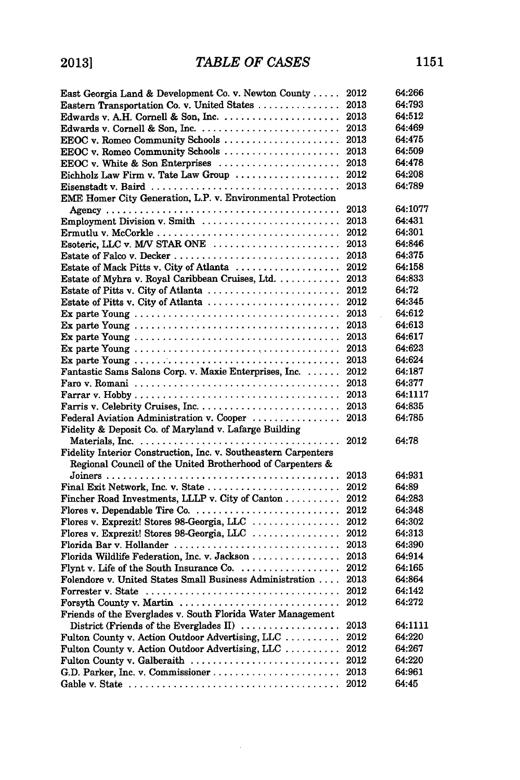| East Georgia Land & Development Co. v. Newton County                                    | 2012 | 64:266  |
|-----------------------------------------------------------------------------------------|------|---------|
| Eastern Transportation Co. v. United States                                             | 2013 | 64:793  |
|                                                                                         | 2013 | 64:512  |
|                                                                                         | 2013 | 64:469  |
| EEOC v. Romeo Community Schools                                                         | 2013 | 64:475  |
| EEOC v. Romeo Community Schools                                                         | 2013 | 64:509  |
| EEOC v. White & Son Enterprises $\ldots \ldots \ldots \ldots \ldots \ldots$             | 2013 | 64:478  |
| Eichholz Law Firm v. Tate Law Group                                                     | 2012 | 64:208  |
|                                                                                         | 2013 | 64:789  |
| EME Homer City Generation, L.P. v. Environmental Protection                             |      |         |
|                                                                                         | 2013 | 64:1077 |
| Employment Division v. Smith                                                            | 2013 | 64:431  |
| Ermutlu v. McCorkle                                                                     | 2012 | 64:301  |
| Esoteric, LLC v. M/V STAR ONE                                                           | 2013 | 64:846  |
|                                                                                         | 2013 | 64:375  |
| Estate of Mack Pitts v. City of Atlanta                                                 | 2012 | 64:158  |
| Estate of Myhra v. Royal Caribbean Cruises, Ltd.                                        | 2013 | 64:833  |
| Estate of Pitts v. City of Atlanta                                                      | 2012 | 64:72   |
| Estate of Pitts v. City of Atlanta                                                      | 2012 | 64:345  |
|                                                                                         | 2013 | 64:612  |
|                                                                                         | 2013 | 64:613  |
|                                                                                         | 2013 | 64:617  |
|                                                                                         | 2013 | 64:623  |
|                                                                                         | 2013 | 64:624  |
| Fantastic Sams Salons Corp. v. Maxie Enterprises, Inc.                                  | 2012 | 64:187  |
|                                                                                         | 2013 | 64:377  |
|                                                                                         | 2013 | 64:1117 |
|                                                                                         | 2013 | 64:835  |
| Federal Aviation Administration v. Cooper                                               | 2013 | 64:785  |
| Fidelity & Deposit Co. of Maryland v. Lafarge Building                                  |      |         |
|                                                                                         | 2012 | 64:78   |
| Fidelity Interior Construction, Inc. v. Southeastern Carpenters                         |      |         |
| Regional Council of the United Brotherhood of Carpenters &                              |      |         |
|                                                                                         | 2013 | 64:931  |
| Final Exit Network, Inc. v. State                                                       | 2012 | 64:89   |
| Fincher Road Investments, LLLP v. City of Canton                                        | 2012 | 64:283  |
|                                                                                         | 2012 | 64:348  |
| Flores v. Exprezit! Stores 98-Georgia, LLC                                              | 2012 | 64:302  |
| Flores v. Exprezit! Stores 98-Georgia, LLC                                              | 2012 | 64:313  |
| Florida Bar v. Hollander                                                                | 2013 | 64:390  |
| Florida Wildlife Federation, Inc. v. Jackson                                            | 2013 | 64:914  |
|                                                                                         | 2012 | 64:165  |
| Folendore v. United States Small Business Administration                                | 2013 | 64:864  |
|                                                                                         | 2012 | 64:142  |
|                                                                                         | 2012 | 64:272  |
| Forsyth County v. Martin<br>Friends of the Everglades v. South Florida Water Management |      |         |
|                                                                                         |      |         |
| District (Friends of the Everglades II) $\ldots$                                        | 2013 | 64:1111 |
| Fulton County v. Action Outdoor Advertising, LLC                                        | 2012 | 64:220  |
| Fulton County v. Action Outdoor Advertising, LLC                                        | 2012 | 64:267  |
| Fulton County v. Galberaith                                                             | 2012 | 64:220  |
| G.D. Parker, Inc. v. Commissioner                                                       | 2013 | 64:961  |
|                                                                                         | 2012 | 64:45   |

 $\sim 10^{-1}$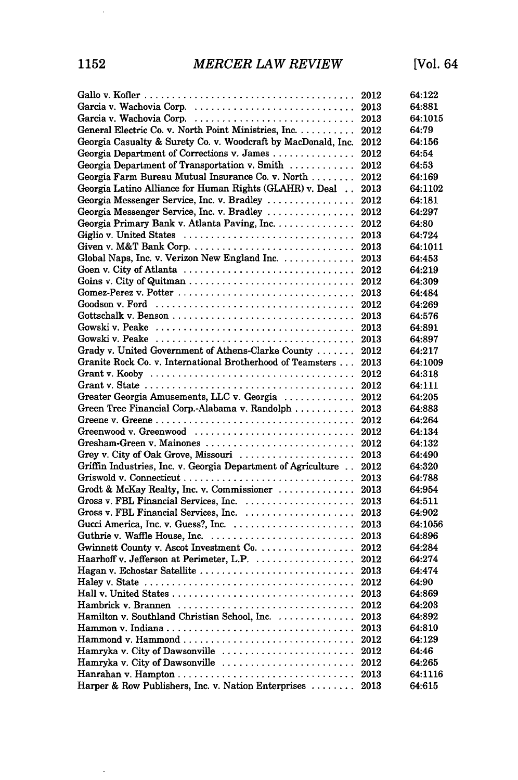|                                                                                                | 2012 | 64:122  |
|------------------------------------------------------------------------------------------------|------|---------|
|                                                                                                | 2013 | 64:881  |
| Garcia v. Wachovia Corp.                                                                       | 2013 | 64:1015 |
| General Electric Co. v. North Point Ministries, Inc.                                           | 2012 | 64:79   |
| Georgia Casualty & Surety Co. v. Woodcraft by MacDonald, Inc.                                  | 2012 | 64:156  |
| Georgia Department of Corrections v. James                                                     | 2012 | 64:54   |
| Georgia Department of Transportation v. Smith                                                  | 2012 | 64:53   |
| Georgia Farm Bureau Mutual Insurance Co. v. North                                              | 2012 | 64:169  |
| Georgia Latino Alliance for Human Rights (GLAHR) v. Deal                                       | 2013 | 64:1102 |
| Georgia Messenger Service, Inc. v. Bradley                                                     | 2012 | 64:181  |
| Georgia Messenger Service, Inc. v. Bradley                                                     | 2012 | 64:297  |
| Georgia Primary Bank v. Atlanta Paving, Inc.                                                   | 2012 | 64:80   |
| Giglio v. United States                                                                        | 2013 | 64:724  |
| Given v. M&T Bank Corp                                                                         | 2013 | 64:1011 |
| Global Naps, Inc. v. Verizon New England Inc.                                                  | 2013 | 64:453  |
| Goen v. City of Atlanta                                                                        | 2012 | 64:219  |
|                                                                                                | 2012 | 64:309  |
| Gomez-Perez v. Potter $\dots\dots\dots\dots\dots\dots\dots\dots\dots\dots\dots\dots\dots\dots$ | 2013 | 64:484  |
|                                                                                                | 2012 | 64:269  |
|                                                                                                | 2013 | 64:576  |
|                                                                                                | 2013 | 64:891  |
|                                                                                                | 2013 | 64:897  |
| Grady v. United Government of Athens-Clarke County                                             | 2012 | 64:217  |
| Granite Rock Co. v. International Brotherhood of Teamsters                                     | 2013 | 64:1009 |
|                                                                                                | 2012 | 64:318  |
| Grant v. State $\ldots \ldots \ldots \ldots \ldots \ldots \ldots \ldots \ldots \ldots \ldots$  | 2012 | 64:111  |
| Greater Georgia Amusements, LLC v. Georgia                                                     | 2012 | 64:205  |
| Green Tree Financial Corp.-Alabama v. Randolph                                                 | 2013 | 64:883  |
|                                                                                                | 2012 | 64:264  |
| Greenwood v. Greenwood                                                                         | 2012 | 64:134  |
| Gresham-Green v. Mainones                                                                      | 2012 | 64:132  |
| Grey v. City of Oak Grove, Missouri                                                            | 2013 | 64:490  |
| Griffin Industries, Inc. v. Georgia Department of Agriculture                                  | 2012 | 64:320  |
|                                                                                                | 2013 | 64:788  |
| Grodt & McKay Realty, Inc. v. Commissioner                                                     | 2013 | 64:954  |
| Gross v. FBL Financial Services, Inc.                                                          | 2013 | 64:511  |
| Gross v. FBL Financial Services, Inc.                                                          | 2013 | 64:902  |
| Gucci America, Inc. v. Guess?, Inc.                                                            | 2013 | 64:1056 |
|                                                                                                | 2013 | 64:896  |
|                                                                                                | 2012 | 64:284  |
| Haarhoff v. Jefferson at Perimeter, L.P.                                                       | 2012 | 64:274  |
|                                                                                                | 2013 | 64:474  |
|                                                                                                |      | 64:90   |
|                                                                                                | 2013 | 64:869  |
|                                                                                                | 2012 | 64:203  |
| Hamilton v. Southland Christian School, Inc.                                                   | 2013 | 64:892  |
|                                                                                                | 2013 | 64:810  |
| $\text{Hammond}$ v. Hammond                                                                    | 2012 | 64:129  |
| Hamryka v. City of Dawsonville                                                                 | 2012 | 64:46   |
| Hamryka v. City of Dawsonville                                                                 | 2012 | 64:265  |
|                                                                                                | 2013 | 64:1116 |
| Harper & Row Publishers, Inc. v. Nation Enterprises                                            | 2013 | 64:615  |
|                                                                                                |      |         |

 $\langle \cdot \rangle$ 

 $\sim$   $\sim$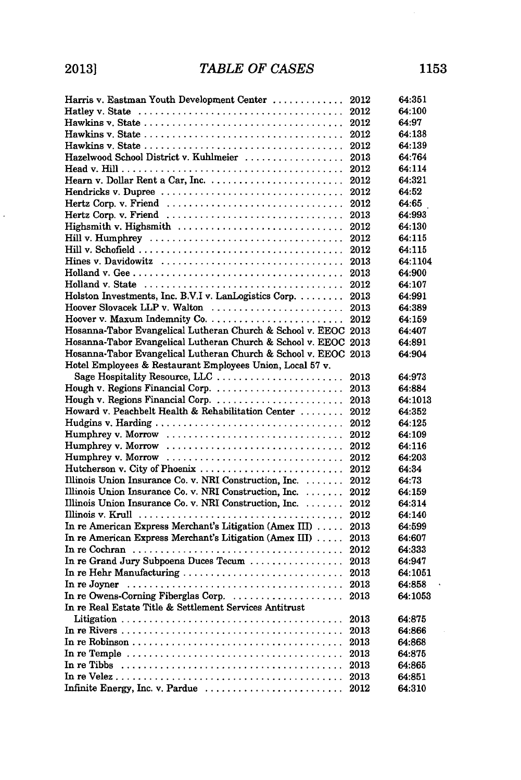$\ddot{\phantom{0}}$ 

 $\hat{\mathbf{v}}$ 

| Harris v. Eastman Youth Development Center                                                               | 2012 | 64:351  |
|----------------------------------------------------------------------------------------------------------|------|---------|
|                                                                                                          | 2012 | 64:100  |
|                                                                                                          | 2012 | 64:97   |
|                                                                                                          | 2012 | 64:138  |
|                                                                                                          | 2012 | 64:139  |
| Hazelwood School District v. Kuhlmeier                                                                   | 2013 | 64:764  |
|                                                                                                          | 2012 | 64:114  |
|                                                                                                          | 2012 | 64:321  |
| Hendricks v. Dupree                                                                                      | 2012 | 64:52   |
|                                                                                                          | 2012 | 64:65   |
| Hertz Corp. v. Friend                                                                                    | 2013 | 64:993  |
| Highsmith v. Highsmith                                                                                   | 2012 | 64:130  |
|                                                                                                          | 2012 | 64:115  |
|                                                                                                          | 2012 | 64:115  |
| Hines v. Davidowitz                                                                                      | 2013 | 64:1104 |
|                                                                                                          | 2013 | 64:900  |
| Holland v. State $\dots\dots\dots\dots\dots\dots\dots\dots\dots\dots\dots\dots\dots\dots$                | 2012 | 64:107  |
| Holston Investments, Inc. B.V.I v. LanLogistics Corp.                                                    | 2013 | 64:991  |
| Hoover Slovacek LLP v. Walton                                                                            | 2013 | 64:389  |
|                                                                                                          | 2012 | 64:159  |
| Hosanna-Tabor Evangelical Lutheran Church & School v. EEOC 2013                                          |      | 64:407  |
| Hosanna-Tabor Evangelical Lutheran Church & School v. EEOC 2013                                          |      | 64:891  |
| Hosanna-Tabor Evangelical Lutheran Church & School v. EEOC 2013                                          |      | 64:904  |
| Hotel Employees & Restaurant Employees Union, Local 57 v.                                                |      |         |
| Sage Hospitality Resource, LLC                                                                           | 2013 | 64:973  |
| Hough v. Regions Financial Corp.                                                                         | 2013 | 64:884  |
| Hough v. Regions Financial Corp.                                                                         | 2013 | 64:1013 |
| Howard v. Peachbelt Health & Rehabilitation Center                                                       | 2012 | 64:352  |
|                                                                                                          | 2012 | 64:125  |
|                                                                                                          | 2012 | 64:109  |
|                                                                                                          | 2012 | 64:116  |
|                                                                                                          | 2012 | 64:203  |
|                                                                                                          | 2012 | 64:34   |
| Illinois Union Insurance Co. v. NRI Construction, Inc.                                                   | 2012 | 64:73   |
| Illinois Union Insurance Co. v. NRI Construction, Inc.                                                   | 2012 | 64:159  |
| Illinois Union Insurance Co. v. NRI Construction, Inc.                                                   | 2012 | 64:314  |
|                                                                                                          | 2012 | 64:140  |
| In re American Express Merchant's Litigation (Amex III)                                                  | 2013 | 64:599  |
| In re American Express Merchant's Litigation (Amex III)                                                  | 2013 | 64:607  |
| In re Cochran $\ldots \ldots \ldots \ldots \ldots \ldots \ldots \ldots \ldots \ldots \ldots \ldots$      | 2012 | 64:333  |
| In re Grand Jury Subpoena Duces Tecum                                                                    | 2013 | 64:947  |
| In re Hehr Manufacturing                                                                                 | 2013 | 64:1051 |
| In redoyner $\dots\dots\dots\dots\dots\dots\dots\dots\dots\dots\dots\dots\dots\dots\dots\dots$           | 2013 | 64:858  |
| In re Owens-Corning Fiberglas Corp.                                                                      | 2013 | 64:1053 |
| In re Real Estate Title & Settlement Services Antitrust                                                  |      |         |
|                                                                                                          | 2013 | 64:875  |
|                                                                                                          | 2013 | 64:866  |
|                                                                                                          | 2013 | 64:868  |
|                                                                                                          | 2013 | 64:875  |
| In re Tibbs $\ldots \ldots \ldots \ldots \ldots \ldots \ldots \ldots \ldots \ldots \ldots \ldots \ldots$ | 2013 | 64:865  |
|                                                                                                          | 2013 | 64:851  |
| Infinite Energy, Inc. v. Pardue                                                                          | 2012 | 64:310  |
|                                                                                                          |      |         |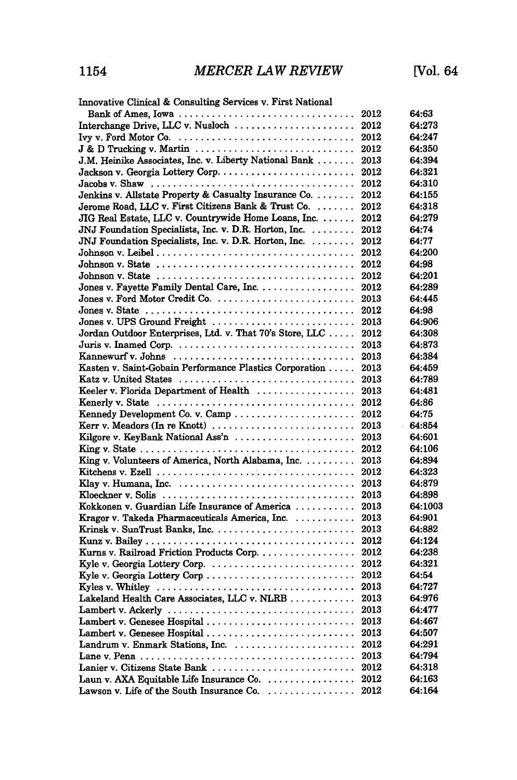| Innovative Clinical & Consulting Services v. First National                                            |      |         |
|--------------------------------------------------------------------------------------------------------|------|---------|
|                                                                                                        |      | 64:63   |
|                                                                                                        |      | 64:273  |
|                                                                                                        | 2012 | 64:247  |
| $J & D$ Trucking v. Martin $\ldots \ldots \ldots \ldots \ldots \ldots \ldots \ldots$                   | 2012 | 64:350  |
| J.M. Heinike Associates, Inc. v. Liberty National Bank                                                 | 2013 | 64:394  |
|                                                                                                        | 2012 | 64:321  |
|                                                                                                        | 2012 | 64:310  |
| Jenkins v. Allstate Property & Casualty Insurance Co.                                                  | 2012 | 64:155  |
| Jerome Road, LLC v. First Citizens Bank & Trust Co.                                                    | 2012 | 64:318  |
| JIG Real Estate, LLC v. Countrywide Home Loans, Inc.                                                   | 2012 | 64:279  |
| JNJ Foundation Specialists, Inc. v. D.R. Horton, Inc.                                                  | 2012 | 64:74   |
| JNJ Foundation Specialists, Inc. v. D.R. Horton, Inc.                                                  | 2012 | 64:77   |
|                                                                                                        | 2012 | 64:200  |
| Johnson v. State $\ldots \ldots \ldots \ldots \ldots \ldots \ldots \ldots \ldots \ldots \ldots$        | 2012 | 64:98   |
| Johnson v. State $\ldots \ldots \ldots \ldots \ldots \ldots \ldots \ldots \ldots \ldots \ldots \ldots$ | 2012 | 64:201  |
| Jones v. Fayette Family Dental Care, Inc.                                                              | 2012 | 64:289  |
| Jones v. Ford Motor Credit Co.                                                                         | 2013 | 64:445  |
|                                                                                                        | 2012 | 64:98   |
| Jones v. UPS Ground Freight                                                                            | 2013 | 64:906  |
| Jordan Outdoor Enterprises, Ltd. v. That 70's Store, LLC                                               | 2012 | 64:308  |
|                                                                                                        | 2013 | 64:873  |
|                                                                                                        | 2013 | 64:384  |
| Kasten v. Saint-Gobain Performance Plastics Corporation                                                | 2013 | 64:459  |
| Katz v. United States                                                                                  | 2013 | 64:789  |
| Keeler v. Florida Department of Health                                                                 |      | 64:481  |
|                                                                                                        | 2013 |         |
|                                                                                                        | 2012 | 64:86   |
|                                                                                                        | 2012 | 64:75   |
| Kerr v. Meadors $(In \cdot R_{\text{not}}) \dots \dots \dots \dots \dots \dots \dots \dots \dots$      | 2013 | 64:854  |
| Kilgore v. KeyBank National Ass'n  2013                                                                |      | 64:601  |
|                                                                                                        |      | 64:106  |
| King v. Volunteers of America, North Alabama, Inc.                                                     | 2013 | 64:894  |
|                                                                                                        | 2012 | 64:323  |
|                                                                                                        | 2013 | 64:879  |
|                                                                                                        | 2013 | 64:898  |
| Kokkonen v. Guardian Life Insurance of America                                                         | 2013 | 64:1003 |
| Kragor v. Takeda Pharmaceuticals America, Inc. 2013                                                    |      | 64:901  |
|                                                                                                        | 2013 | 64:882  |
|                                                                                                        |      | 64:124  |
| Kurns v. Railroad Friction Products Corp.                                                              | 2012 | 64:238  |
| Kyle v. Georgia Lottery Corp.                                                                          | 2012 | 64:321  |
| Kyle v. Georgia Lottery Corp                                                                           | 2012 | 64:54   |
| Kyles v. Whitley $\ldots \ldots \ldots \ldots \ldots \ldots \ldots \ldots \ldots \ldots \ldots$        | 2013 | 64:727  |
| Lakeland Health Care Associates, LLC v. NLRB                                                           | 2013 | 64:976  |
| Lambert v. Ackerly                                                                                     | 2013 | 64:477  |
| Lambert v. Genesee Hospital                                                                            | 2013 | 64:467  |
| Lambert v. Genesee Hospital  2013                                                                      |      | 64:507  |
|                                                                                                        |      | 64:291  |
|                                                                                                        |      | 64:794  |
| Lanier v. Citizens State Bank  2012                                                                    |      | 64:318  |
| Laun v. AXA Equitable Life Insurance Co.  2012                                                         |      | 64:163  |
| Lawson v. Life of the South Insurance Co.                                                              | 2012 | 64:164  |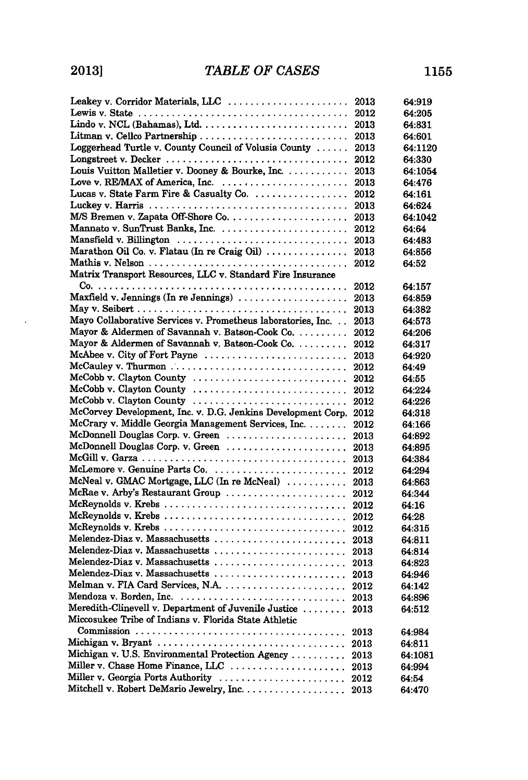$\ddot{\phantom{a}}$ 

| Leakey v. Corridor Materials, LLC  2013                      |      | 64:919  |
|--------------------------------------------------------------|------|---------|
|                                                              | 2012 | 64:205  |
|                                                              | 2013 | 64:831  |
|                                                              | 2013 | 64:601  |
| Loggerhead Turtle v. County Council of Volusia County        | 2013 | 64:1120 |
|                                                              | 2012 | 64:330  |
| Louis Vuitton Malletier v. Dooney & Bourke, Inc.             | 2013 | 64:1054 |
| Love v. RE/MAX of America, Inc.                              | 2013 | 64:476  |
| Lucas v. State Farm Fire & Casualty Co.                      | 2012 | 64:161  |
|                                                              | 2013 | 64:624  |
|                                                              | 2013 | 64:1042 |
|                                                              | 2012 | 64:64   |
| Mansfield v. Billington                                      | 2013 | 64:483  |
| Marathon Oil Co. v. Flatau (In re Craig Oil)                 | 2013 | 64:856  |
|                                                              | 2012 | 64:52   |
| Matrix Transport Resources, LLC v. Standard Fire Insurance   |      |         |
|                                                              | 2012 | 64:157  |
| Maxfield v. Jennings (In re Jennings)                        | 2013 | 64:859  |
|                                                              | 2013 | 64:382  |
| Mayo Collaborative Services v. Prometheus laboratories, Inc. | 2013 | 64:573  |
| Mayor & Aldermen of Savannah v. Batson-Cook Co.              | 2012 | 64:206  |
| Mayor & Aldermen of Savannah v. Batson-Cook Co.              | 2012 | 64:317  |
| McAbee v. City of Fort Payne                                 | 2013 | 64:920  |
|                                                              | 2012 | 64:49   |
| McCobb v. Clayton County                                     | 2012 | 64:55   |
| McCobb v. Clayton County                                     | 2012 | 64:224  |
| McCobb v. Clayton County                                     | 2012 | 64:226  |
| McCorvey Development, Inc. v. D.G. Jenkins Development Corp. | 2012 | 64:318  |
| McCrary v. Middle Georgia Management Services, Inc.          | 2012 | 64:166  |
| McDonnell Douglas Corp. v. Green                             | 2013 | 64:892  |
| McDonnell Douglas Corp. v. Green                             | 2013 | 64:895  |
|                                                              | 2013 | 64:384  |
| McLemore v. Genuine Parts Co.                                | 2012 | 64:294  |
| McNeal v. GMAC Mortgage, LLC (In re McNeal)                  | 2013 | 64:863  |
| McRae v. Arby's Restaurant Group                             | 2012 | 64:344  |
| McReynolds v. Krebs                                          | 2012 | 64:16   |
| McReynolds v. Krebs                                          | 2012 | 64:28   |
| McReynolds v. Krebs                                          | 2012 | 64:315  |
|                                                              | 2013 | 64:811  |
| Melendez-Diaz v. Massachusetts                               | 2013 | 64:814  |
| Melendez-Diaz v. Massachusetts                               | 2013 | 64:823  |
| Melendez-Diaz v. Massachusetts                               | 2013 | 64:946  |
| Melman v. FIA Card Services, N.A.  2012                      |      | 64:142  |
|                                                              |      | 64:896  |
| Meredith-Clinevell v. Department of Juvenile Justice         | 2013 | 64:512  |
| Miccosukee Tribe of Indians v. Florida State Athletic        |      |         |
|                                                              | 2013 | 64:984  |
|                                                              | 2013 | 64:811  |
| Michigan v. U.S. Environmental Protection Agency             | 2013 | 64:1081 |
| Miller v. Chase Home Finance, LLC                            | 2013 | 64:994  |
| Miller v. Georgia Ports Authority                            | 2012 | 64:54   |
|                                                              | 2013 | 64:470  |
|                                                              |      |         |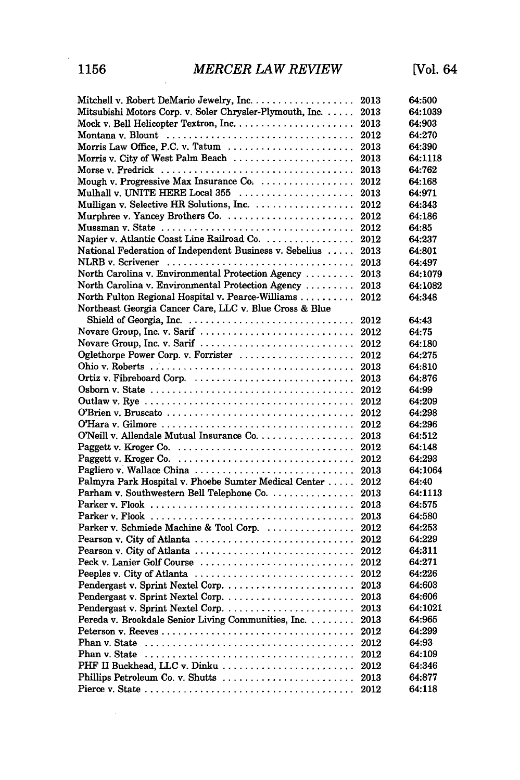| Mitchell v. Robert DeMario Jewelry, Inc.                                                      | 2013 | 64:500           |
|-----------------------------------------------------------------------------------------------|------|------------------|
| Mitsubishi Motors Corp. v. Soler Chrysler-Plymouth, Inc.                                      | 2013 | 64:1039          |
|                                                                                               | 2013 | 64:903           |
| Montana v. Blount                                                                             | 2012 | 64:270           |
| Morris Law Office, P.C. v. Tatum                                                              | 2013 | 64:390           |
| Morris v. City of West Palm Beach $\ldots \ldots \ldots \ldots \ldots \ldots$                 | 2013 | 64:1118          |
|                                                                                               | 2013 | 64:762           |
| Mough v. Progressive Max Insurance Co.                                                        | 2012 | 64:168           |
| Mulhall v. UNITE HERE Local 355                                                               | 2013 | 64:971           |
|                                                                                               | 2012 | 64:343           |
| Murphree v. Yancey Brothers Co.                                                               | 2012 | 64:186           |
|                                                                                               | 2012 | 64:85            |
| Napier v. Atlantic Coast Line Railroad Co.                                                    | 2012 | 64:237           |
| National Federation of Independent Business v. Sebelius                                       | 2013 | 64:801           |
|                                                                                               | 2013 | 64:497           |
| North Carolina v. Environmental Protection Agency                                             | 2013 | 64:1079          |
| North Carolina v. Environmental Protection Agency                                             | 2013 | 64:1082          |
| North Fulton Regional Hospital v. Pearce-Williams                                             | 2012 | 64:348           |
| Northeast Georgia Cancer Care, LLC v. Blue Cross & Blue                                       |      |                  |
| Shield of Georgia, Inc.                                                                       | 2012 | 64:43            |
| Novare Group, Inc. v. Sarif                                                                   | 2012 | 64:75            |
| Novare Group, Inc. v. Sarif                                                                   | 2012 | 64:180           |
| Oglethorpe Power Corp. v. Forrister                                                           | 2012 | 64:275           |
|                                                                                               | 2013 | 64:810           |
|                                                                                               | 2013 | 64:876           |
|                                                                                               | 2012 | 64:99            |
|                                                                                               | 2012 | 64:209           |
|                                                                                               | 2012 | 64:298           |
|                                                                                               | 2012 | 64:296           |
|                                                                                               | 2013 | 64:512           |
| Paggett v. Kroger Co. $\ldots \ldots \ldots \ldots \ldots \ldots \ldots \ldots \ldots \ldots$ | 2012 | 64:148           |
|                                                                                               | 2012 | 64:293           |
| Pagliero v. Wallace China                                                                     | 2013 | 64:1064          |
| Palmyra Park Hospital v. Phoebe Sumter Medical Center                                         | 2012 | 64:40            |
| Parham v. Southwestern Bell Telephone Co.                                                     | 2013 | 64:1113          |
|                                                                                               | 2013 | 64:575           |
|                                                                                               | 2013 | 64:580           |
| Parker v. Schmiede Machine & Tool Corp.                                                       | 2012 | 64:253           |
| Pearson v. City of Atlanta                                                                    | 2012 | 64:229           |
| Pearson v. City of Atlanta                                                                    | 2012 | 64:311           |
| Peck v. Lanier Golf Course                                                                    | 2012 | 64:271           |
| Peeples v. City of Atlanta                                                                    | 2012 | 64:226           |
|                                                                                               | 2013 | 64:603           |
|                                                                                               | 2013 | 64:606           |
|                                                                                               | 2013 | 64:1021          |
| Pereda v. Brookdale Senior Living Communities, Inc.                                           |      | 64:965           |
|                                                                                               | 2013 |                  |
|                                                                                               | 2012 | 64:299<br>64:93  |
|                                                                                               | 2012 |                  |
|                                                                                               | 2012 | 64:109           |
| PHF II Buckhead, LLC v. Dinku                                                                 | 2012 | 64:346<br>64:877 |
|                                                                                               | 2013 |                  |
|                                                                                               | 2012 | 64:118           |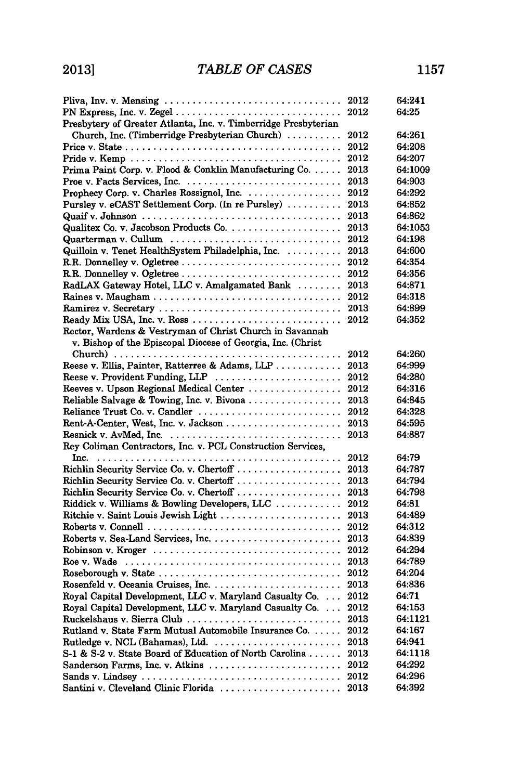| Pliva, Inv. v. Mensing $\dots \dots \dots \dots \dots \dots \dots \dots \dots \dots \dots \dots$ | 2012 | 64:241  |
|--------------------------------------------------------------------------------------------------|------|---------|
|                                                                                                  | 2012 | 64:25   |
| Presbytery of Greater Atlanta, Inc. v. Timberridge Presbyterian                                  |      |         |
| Church, Inc. (Timberridge Presbyterian Church)                                                   | 2012 | 64:261  |
|                                                                                                  | 2012 | 64:208  |
|                                                                                                  | 2012 | 64:207  |
| Prima Paint Corp. v. Flood & Conklin Manufacturing Co.                                           | 2013 | 64:1009 |
| Proe v. Facts Services, Inc.                                                                     | 2013 | 64:903  |
|                                                                                                  | 2012 | 64:292  |
| Pursley v. eCAST Settlement Corp. (In re Pursley)                                                | 2013 | 64:852  |
|                                                                                                  | 2013 | 64:862  |
|                                                                                                  | 2013 | 64:1053 |
|                                                                                                  | 2012 | 64:198  |
| Quilloin v. Tenet HealthSystem Philadelphia, Inc.                                                | 2013 | 64:600  |
|                                                                                                  | 2012 | 64:354  |
|                                                                                                  | 2012 | 64:356  |
| RadLAX Gateway Hotel, LLC v. Amalgamated Bank                                                    | 2013 | 64:871  |
|                                                                                                  | 2012 | 64:318  |
| Ramirez v. Secretary                                                                             | 2013 | 64:899  |
| Ready Mix USA, Inc. v. Ross                                                                      | 2012 | 64:352  |
| Rector, Wardens & Vestryman of Christ Church in Savannah                                         |      |         |
| v. Bishop of the Episcopal Diocese of Georgia, Inc. (Christ                                      |      |         |
|                                                                                                  | 2012 | 64:260  |
| Reese v. Ellis, Painter, Ratterree & Adams, LLP                                                  | 2013 | 64:999  |
| Reese v. Provident Funding, LLP                                                                  | 2012 | 64:280  |
| Reeves v. Upson Regional Medical Center                                                          | 2012 | 64:316  |
| Reliable Salvage & Towing, Inc. v. Bivona                                                        | 2013 | 64:845  |
| Reliance Trust Co. v. Candler                                                                    | 2012 | 64:328  |
| Rent-A-Center, West, Inc. v. Jackson                                                             | 2013 | 64:595  |
|                                                                                                  | 2013 | 64:887  |
| Rey Coliman Contractors, Inc. v. PCL Construction Services,                                      |      |         |
|                                                                                                  | 2012 | 64:79   |
| Richlin Security Service Co. v. Chertoff                                                         | 2013 | 64:787  |
| Richlin Security Service Co. v. Chertoff                                                         | 2013 | 64:794  |
|                                                                                                  | 2013 | 64:798  |
| Riddick v. Williams & Bowling Developers, LLC                                                    | 2012 | 64:81   |
| Ritchie v. Saint Louis Jewish Light                                                              | 2013 | 64:489  |
|                                                                                                  | 2012 | 64:312  |
|                                                                                                  | 2013 | 64:839  |
|                                                                                                  | 2012 | 64:294  |
|                                                                                                  | 2013 | 64:789  |
|                                                                                                  | 2012 | 64:204  |
|                                                                                                  | 2013 | 64:836  |
| Royal Capital Development, LLC v. Maryland Casualty Co.                                          | 2012 | 64:71   |
| Royal Capital Development, LLC v. Maryland Casualty Co.                                          | 2012 | 64:153  |
| Ruckelshaus v. Sierra Club                                                                       | 2013 | 64:1121 |
| Rutland v. State Farm Mutual Automobile Insurance Co.                                            | 2012 | 64:167  |

Rutledge v. **NCL** (Bahamas), Ltd ........................ 2013 64:941 *S-1* & S-2 v. State Board of Education of North Carolina ...... 2013 64:1118 Sanderson Farms, Inc. v. Atkins ........................ 2012 64:292 Sands v. Lindsey .................................... 2012 64:296 Santini v. Cleveland Clinic Florida ...................... 2013 64:392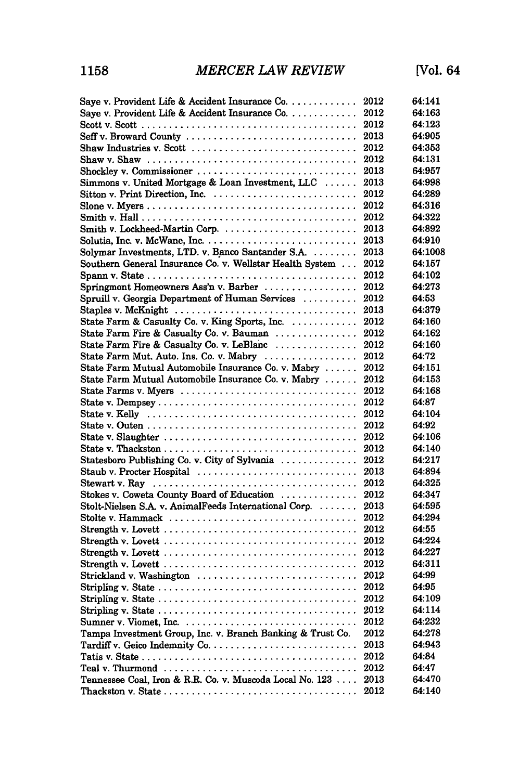| Save v. Provident Life & Accident Insurance $Co. \ldots \ldots \ldots$                          | 2012 | 64:141  |
|-------------------------------------------------------------------------------------------------|------|---------|
| Saye v. Provident Life & Accident Insurance Co.                                                 | 2012 | 64:163  |
|                                                                                                 | 2012 | 64:123  |
| Seff v. Broward County                                                                          | 2013 | 64:905  |
| Shaw Industries v. Scott                                                                        | 2012 | 64:353  |
| Shaw v. Shaw $\ldots \ldots \ldots \ldots \ldots \ldots \ldots \ldots \ldots \ldots$            | 2012 | 64:131  |
| Shockley v. Commissioner                                                                        | 2013 | 64:957  |
| Simmons v. United Mortgage & Loan Investment, LLC                                               | 2013 | 64:998  |
|                                                                                                 | 2012 | 64:289  |
|                                                                                                 | 2012 | 64.316  |
|                                                                                                 | 2012 | 64:322  |
|                                                                                                 | 2013 | 64:892  |
|                                                                                                 | 2013 | 64:910  |
| Solymar Investments, LTD. v. Banco Santander S.A.                                               | 2013 | 64:1008 |
| Southern General Insurance Co. v. Wellstar Health System                                        | 2012 | 64:157  |
|                                                                                                 | 2012 | 64:102  |
| Springmont Homeowners Ass'n v. Barber                                                           | 2012 | 64:273  |
| Spruill v. Georgia Department of Human Services                                                 | 2012 | 64:53   |
| Staples v. McKnight                                                                             | 2013 | 64:379  |
| State Farm & Casualty Co. v. King Sports, Inc.                                                  | 2012 | 64:160  |
| State Farm Fire & Casualty Co. v. Bauman                                                        | 2012 | 64:162  |
| State Farm Fire & Casualty Co. v. LeBlanc                                                       | 2012 | 64:160  |
| State Farm Mut. Auto. Ins. Co. v. Mabry                                                         | 2012 | 64:72   |
| State Farm Mutual Automobile Insurance Co. v. Mabry                                             | 2012 | 64:151  |
| State Farm Mutual Automobile Insurance Co. v. Mabry                                             | 2012 | 64:153  |
|                                                                                                 | 2012 | 64:168  |
|                                                                                                 | 2012 | 64:87   |
| State v. Kelly $\dots\dots\dots\dots\dots\dots\dots\dots\dots\dots\dots\dots\dots\dots\dots$    | 2012 | 64:104  |
|                                                                                                 | 2012 | 64:92   |
|                                                                                                 | 2012 | 64:106  |
|                                                                                                 | 2012 | 64:140  |
| Statesboro Publishing Co. v. City of Sylvania                                                   | 2012 | 64:217  |
| Staub v. Procter Hospital                                                                       | 2013 | 64:894  |
| Stewart v. Ray $\dots\dots\dots\dots\dots\dots\dots\dots\dots\dots\dots\dots\dots\dots\dots$    | 2012 | 64:325  |
| Stokes v. Coweta County Board of Education                                                      | 2012 | 64:347  |
| Stolt-Nielsen S.A. v. AnimalFeeds International Corp.                                           | 2013 | 64:595  |
| Stolte v. Hammack                                                                               | 2012 | 64:294  |
|                                                                                                 | 2012 | 64:55   |
| Strength v. Lovett $\dots\dots\dots\dots\dots\dots\dots\dots\dots\dots\dots\dots\dots\dots$     | 2012 | 64:224  |
|                                                                                                 | 2012 | 64:227  |
|                                                                                                 | 2012 | 64:311  |
|                                                                                                 | 2012 | 64:99   |
| Strickland v. Washington                                                                        | 2012 |         |
|                                                                                                 | 2012 | 64:95   |
|                                                                                                 |      | 64:109  |
|                                                                                                 | 2012 | 64:114  |
|                                                                                                 | 2012 | 64:232  |
| Tampa Investment Group, Inc. v. Branch Banking & Trust Co.                                      | 2012 | 64:278  |
|                                                                                                 | 2013 | 64:943  |
|                                                                                                 | 2012 | 64:84   |
| Teal v. Thurmond $\ldots \ldots \ldots \ldots \ldots \ldots \ldots \ldots \ldots \ldots \ldots$ | 2012 | 64:47   |
| Tennessee Coal, Iron & R.R. Co. v. Muscoda Local No. 123                                        | 2013 | 64:470  |
|                                                                                                 | 2012 | 64:140  |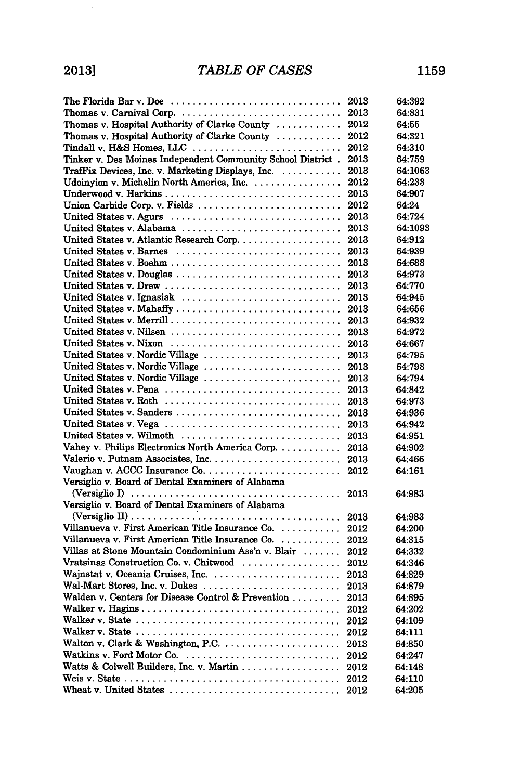$\sim$ 

| The Florida Bar v. Doe $\ldots \ldots \ldots \ldots \ldots \ldots \ldots \ldots \ldots$                                                                  | 2013 | 64:392  |
|----------------------------------------------------------------------------------------------------------------------------------------------------------|------|---------|
| Thomas v. Carnival Corp.                                                                                                                                 | 2013 | 64:831  |
| Thomas v. Hospital Authority of Clarke County                                                                                                            | 2012 | 64:55   |
| Thomas v. Hospital Authority of Clarke County                                                                                                            | 2012 | 64:321  |
| Tindall v. H&S Homes, LLC                                                                                                                                | 2012 | 64:310  |
| Tinker v. Des Moines Independent Community School District.                                                                                              | 2013 | 64:759  |
| TrafFix Devices, Inc. v. Marketing Displays, Inc.                                                                                                        | 2013 | 64:1063 |
| Udoinyion v. Michelin North America, Inc.                                                                                                                | 2012 | 64:233  |
|                                                                                                                                                          | 2013 | 64:907  |
|                                                                                                                                                          | 2012 | 64:24   |
| United States v. Agurs                                                                                                                                   | 2013 | 64:724  |
| United States v. Alabama                                                                                                                                 | 2013 | 64:1093 |
| United States v. Atlantic Research Corp.                                                                                                                 | 2013 | 64:912  |
| United States v. Barnes                                                                                                                                  | 2013 | 64:939  |
|                                                                                                                                                          | 2013 | 64:688  |
| United States v. Douglas                                                                                                                                 | 2013 | 64:973  |
|                                                                                                                                                          | 2013 | 64:770  |
| United States v. Ignasiak                                                                                                                                | 2013 | 64:945  |
| United States v. Mahaffy                                                                                                                                 | 2013 | 64:656  |
| United States v. Merrill                                                                                                                                 | 2013 | 64:932  |
| United States v. Nilsen                                                                                                                                  | 2013 | 64:972  |
| United States v. Nixon                                                                                                                                   | 2013 | 64:667  |
| United States v. Nordic Village                                                                                                                          | 2013 | 64:795  |
| United States v. Nordic Village                                                                                                                          | 2013 | 64:798  |
| United States v. Nordic Village                                                                                                                          | 2013 | 64:794  |
|                                                                                                                                                          | 2013 | 64:842  |
| United States v. Roth                                                                                                                                    | 2013 | 64:973  |
| United States v. Sanders                                                                                                                                 | 2013 | 64:936  |
| United States v. Vega                                                                                                                                    |      | 64:942  |
| United States v. Wilmoth                                                                                                                                 | 2013 |         |
| Vahey v. Philips Electronics North America Corp.                                                                                                         | 2013 | 64:951  |
|                                                                                                                                                          | 2013 | 64:902  |
|                                                                                                                                                          | 2013 | 64:466  |
| Versiglio v. Board of Dental Examiners of Alabama                                                                                                        | 2012 | 64:161  |
|                                                                                                                                                          |      |         |
| (Versiglio I) $\ldots \ldots \ldots \ldots \ldots \ldots \ldots \ldots \ldots \ldots \ldots \ldots$<br>Versiglio v. Board of Dental Examiners of Alabama | 2013 | 64:983  |
|                                                                                                                                                          |      |         |
|                                                                                                                                                          | 2013 | 64:983  |
| Villanueva v. First American Title Insurance Co.                                                                                                         | 2012 | 64:200  |
| Villanueva v. First American Title Insurance Co.                                                                                                         | 2012 | 64:315  |
| Villas at Stone Mountain Condominium Ass'n v. Blair                                                                                                      | 2012 | 64:332  |
| Vratsinas Construction Co. v. Chitwood                                                                                                                   | 2012 | 64:346  |
|                                                                                                                                                          | 2013 | 64:829  |
| Wal-Mart Stores, Inc. v. Dukes                                                                                                                           | 2013 | 64:879  |
| Walden v. Centers for Disease Control & Prevention                                                                                                       | 2013 | 64:895  |
|                                                                                                                                                          | 2012 | 64:202  |
|                                                                                                                                                          | 2012 | 64:109  |
|                                                                                                                                                          | 2012 | 64:111  |
| Walton v. Clark & Washington, P.C.                                                                                                                       | 2013 | 64:850  |
| Watkins v. Ford Motor Co.                                                                                                                                | 2012 | 64:247  |
|                                                                                                                                                          | 2012 | 64:148  |
| Weis v. State $\ldots \ldots \ldots \ldots \ldots \ldots \ldots \ldots \ldots \ldots \ldots \ldots \ldots$                                               | 2012 | 64:110  |
| Wheat v. United States                                                                                                                                   | 2012 | 64:205  |